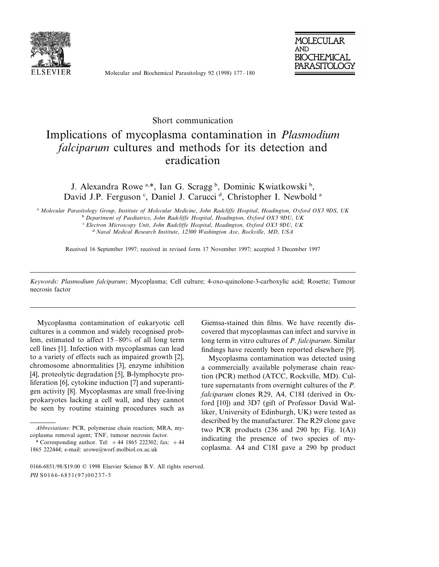

Molecular and Biochemical Parasitology 92 (1998) 177–180



## Short communication

## Implications of mycoplasma contamination in *Plasmodium falciparum* cultures and methods for its detection and eradication

J. Alexandra Rowe<sup>a,\*</sup>, Ian G. Scragg<sup>b</sup>, Dominic Kwiatkowski<sup>b</sup>, David J.P. Ferguson<sup>c</sup>, Daniel J. Carucci<sup>d</sup>, Christopher I. Newbold<sup>a</sup>

<sup>a</sup> *Molecular Parasitology Group*, *Institute of Molecular Medicine*, *John Radcliffe Hospital*, *Headington*, *Oxford OX*<sup>3</sup> <sup>9</sup>*DS*, *UK*

<sup>b</sup> *Department of Paediatrics*, *John Radcliffe Hospital*, *Headington*, *Oxford OX*<sup>3</sup> <sup>9</sup>*DU*, *UK*

<sup>c</sup> *Electron Microscopy Unit*, *John Radcliffe Hospital*, *Headington*, *Oxford OX*<sup>3</sup> <sup>9</sup>*DU*, *UK*

<sup>d</sup> Naval Medical Research Institute, 12300 *Washington Ave, Rockville, MD, USA* 

Received 16 September 1997; received in revised form 17 November 1997; accepted 3 December 1997

*Keywords*: *Plasmodium falciparum*; Mycoplasma; Cell culture; 4-oxo-quinolone-3-carboxylic acid; Rosette; Tumour necrosis factor

Mycoplasma contamination of eukaryotic cell cultures is a common and widely recognised problem, estimated to affect 15–80% of all long term cell lines [1]. Infection with mycoplasmas can lead to a variety of effects such as impaired growth [2], chromosome abnormalities [3], enzyme inhibition [4], proteolytic degradation [5], B-lymphocyte proliferation [6], cytokine induction [7] and superantigen activity [8]. Mycoplasmas are small free-living prokaryotes lacking a cell wall, and they cannot be seen by routine staining procedures such as

Giemsa-stained thin films. We have recently discovered that mycoplasmas can infect and survive in long term in vitro cultures of *P*. *falciparum*. Similar findings have recently been reported elsewhere [9].

Mycoplasma contamination was detected using a commercially available polymerase chain reaction (PCR) method (ATCC, Rockville, MD). Culture supernatants from overnight cultures of the *P*. *falciparum* clones R29, A4, C18I (derived in Oxford [10]) and 3D7 (gift of Professor David Walliker, University of Edinburgh, UK) were tested as described by the manufacturer. The R29 clone gave two PCR products  $(236 \text{ and } 290 \text{ bp}; \text{ Fig. } 1(A))$ indicating the presence of two species of mycoplasma. A4 and C18I gave a 290 bp product

*Abbre*6*iations*: PCR, polymerase chain reaction; MRA, mycoplasma removal agent; TNF, tumour necrosis factor.

<sup>\*</sup> Corresponding author. Tel:  $+44$  1865 222302; fax:  $+44$ 1865 222444; e-mail: arowe@worf.molbiol.ox.ac.uk

<sup>0166-6851</sup>/98/\$19.00 © 1998 Elsevier Science B.V. All rights reserved. PII S0166-6851(97)00237-5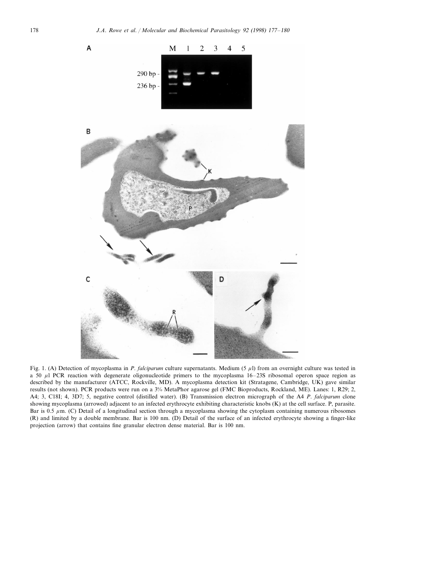

Fig. 1. (A) Detection of mycoplasma in *P. falciparum* culture supernatants. Medium (5  $\mu$ l) from an overnight culture was tested in a 50  $\mu$ l PCR reaction with degenerate oligonucleotide primers to the mycoplasma 16–23S ribosomal operon space region as described by the manufacturer (ATCC, Rockville, MD). A mycoplasma detection kit (Stratagene, Cambridge, UK) gave similar results (not shown). PCR products were run on a 3% MetaPhor agarose gel (FMC Bioproducts, Rockland, ME). Lanes: 1, R29; 2, A4; 3, C18I; 4, 3D7; 5, negative control (distilled water). (B) Transmission electron micrograph of the A4 *P*. *falciparum* clone showing mycoplasma (arrowed) adjacent to an infected erythrocyte exhibiting characteristic knobs (K) at the cell surface. P, parasite. Bar is 0.5  $\mu$ m. (C) Detail of a longitudinal section through a mycoplasma showing the cytoplasm containing numerous ribosomes (R) and limited by a double membrane. Bar is 100 nm. (D) Detail of the surface of an infected erythrocyte showing a finger-like projection (arrow) that contains fine granular electron dense material. Bar is 100 nm.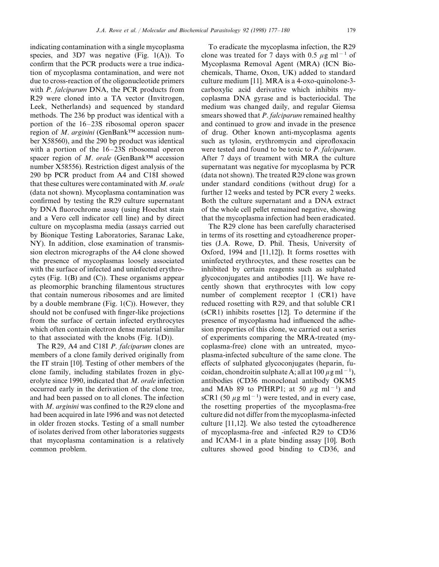indicating contamination with a single mycoplasma species, and  $3D7$  was negative (Fig. 1(A)). To confirm that the PCR products were a true indication of mycoplasma contamination, and were not due to cross-reaction of the oligonucleotide primers with *P*. *falciparum* DNA, the PCR products from R29 were cloned into a TA vector (Invitrogen, Leek, Netherlands) and sequenced by standard methods. The 236 bp product was identical with a portion of the 16–23S ribosomal operon spacer region of *M*. *arginini* (GenBank™ accession number X58560), and the 290 bp product was identical with a portion of the 16–23S ribosomal operon spacer region of *M*. *orale* (GenBank™ accession number X58556). Restriction digest analysis of the 290 bp PCR product from A4 and C18I showed that these cultures were contaminated with *M*. *orale* (data not shown). Mycoplasma contamination was confirmed by testing the R29 culture supernatant by DNA fluorochrome assay (using Hoechst stain and a Vero cell indicator cell line) and by direct culture on mycoplasma media (assays carried out by Bionique Testing Laboratories, Saranac Lake, NY). In addition, close examination of transmission electron micrographs of the A4 clone showed the presence of mycoplasmas loosely associated with the surface of infected and uninfected erythrocytes (Fig. 1(B) and (C)). These organisms appear as pleomorphic branching filamentous structures that contain numerous ribosomes and are limited by a double membrane (Fig.  $1(C)$ ). However, they should not be confused with finger-like projections from the surface of certain infected erythrocytes which often contain electron dense material similar to that associated with the knobs (Fig. 1(D)).

The R29, A4 and C18I *P*. *falciparum* clones are members of a clone family derived originally from the IT strain [10]. Testing of other members of the clone family, including stabilates frozen in glycerolyte since 1990, indicated that *M*. *orale* infection occurred early in the derivation of the clone tree, and had been passed on to all clones. The infection with *M*. *arginini* was confined to the R29 clone and had been acquired in late 1996 and was not detected in older frozen stocks. Testing of a small number of isolates derived from other laboratories suggests that mycoplasma contamination is a relatively common problem.

To eradicate the mycoplasma infection, the R29 clone was treated for 7 days with 0.5  $\mu$ g ml<sup>-1</sup> of Mycoplasma Removal Agent (MRA) (ICN Biochemicals, Thame, Oxon, UK) added to standard culture medium [11]. MRA is a 4-oxo-quinolone-3 carboxylic acid derivative which inhibits mycoplasma DNA gyrase and is bacteriocidal. The medium was changed daily, and regular Giemsa smears showed that *P*. *falciparum* remained healthy and continued to grow and invade in the presence of drug. Other known anti-mycoplasma agents such as tylosin, erythromycin and ciprofloxacin were tested and found to be toxic to *P*. *falciparum*. After 7 days of treament with MRA the culture supernatant was negative for mycoplasma by PCR (data not shown). The treated R29 clone was grown under standard conditions (without drug) for a further 12 weeks and tested by PCR every 2 weeks. Both the culture supernatant and a DNA extract of the whole cell pellet remained negative, showing that the mycoplasma infection had been eradicated.

The R29 clone has been carefully characterised in terms of its rosetting and cytoadherence properties (J.A. Rowe, D. Phil. Thesis, University of Oxford, 1994 and [11,12]). It forms rosettes with uninfected erythrocytes, and these rosettes can be inhibited by certain reagents such as sulphated glycoconjugates and antibodies [11]. We have recently shown that erythrocytes with low copy number of complement receptor 1 (CR1) have reduced rosetting with R29, and that soluble CR1 (sCR1) inhibits rosettes [12]. To determine if the presence of mycoplasma had influenced the adhesion properties of this clone, we carried out a series of experiments comparing the MRA-treated (mycoplasma-free) clone with an untreated, mycoplasma-infected subculture of the same clone. The effects of sulphated glycoconjugates (heparin, fucoidan, chondroitin sulphate A; all at  $100 \,\mu g$  ml<sup>-1</sup>), antibodies (CD36 monoclonal antibody OKM5 and MAb 89 to PfHRP1; at 50  $\mu$ g ml<sup>-1</sup>) and sCR1 (50  $\mu$ g ml<sup>-1</sup>) were tested, and in every case, the rosetting properties of the mycoplasma-free culture did not differ from the mycoplasma-infected culture [11,12]. We also tested the cytoadherence of mycoplasma-free and -infected R29 to CD36 and ICAM-1 in a plate binding assay [10]. Both cultures showed good binding to CD36, and